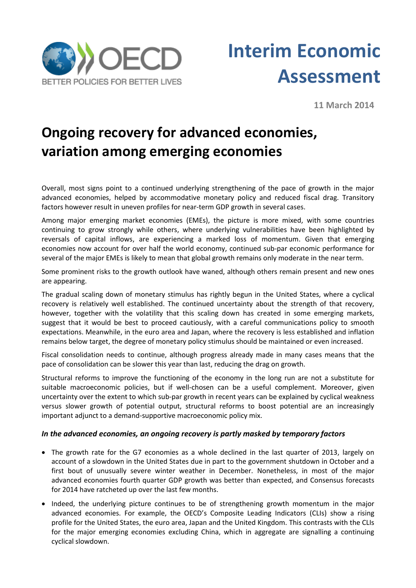



**11 March 2014**

# **Ongoing recovery for advanced economies, variation among emerging economies**

Overall, most signs point to a continued underlying strengthening of the pace of growth in the major advanced economies, helped by accommodative monetary policy and reduced fiscal drag. Transitory factors however result in uneven profiles for near-term GDP growth in several cases.

Among major emerging market economies (EMEs), the picture is more mixed, with some countries continuing to grow strongly while others, where underlying vulnerabilities have been highlighted by reversals of capital inflows, are experiencing a marked loss of momentum. Given that emerging economies now account for over half the world economy, continued sub-par economic performance for several of the major EMEs is likely to mean that global growth remains only moderate in the near term.

Some prominent risks to the growth outlook have waned, although others remain present and new ones are appearing.

The gradual scaling down of monetary stimulus has rightly begun in the United States, where a cyclical recovery is relatively well established. The continued uncertainty about the strength of that recovery, however, together with the volatility that this scaling down has created in some emerging markets, suggest that it would be best to proceed cautiously, with a careful communications policy to smooth expectations. Meanwhile, in the euro area and Japan, where the recovery is less established and inflation remains below target, the degree of monetary policy stimulus should be maintained or even increased.

Fiscal consolidation needs to continue, although progress already made in many cases means that the pace of consolidation can be slower this year than last, reducing the drag on growth.

Structural reforms to improve the functioning of the economy in the long run are not a substitute for suitable macroeconomic policies, but if well-chosen can be a useful complement. Moreover, given uncertainty over the extent to which sub-par growth in recent years can be explained by cyclical weakness versus slower growth of potential output, structural reforms to boost potential are an increasingly important adjunct to a demand-supportive macroeconomic policy mix.

### *In the advanced economies, an ongoing recovery is partly masked by temporary factors*

- The growth rate for the G7 economies as a whole declined in the last quarter of 2013, largely on account of a slowdown in the United States due in part to the government shutdown in October and a first bout of unusually severe winter weather in December. Nonetheless, in most of the major advanced economies fourth quarter GDP growth was better than expected, and Consensus forecasts for 2014 have ratcheted up over the last few months.
- Indeed, the underlying picture continues to be of strengthening growth momentum in the major advanced economies. For example, the OECD's Composite Leading Indicators (CLIs) show a rising profile for the United States, the euro area, Japan and the United Kingdom. This contrasts with the CLIs for the major emerging economies excluding China, which in aggregate are signalling a continuing cyclical slowdown.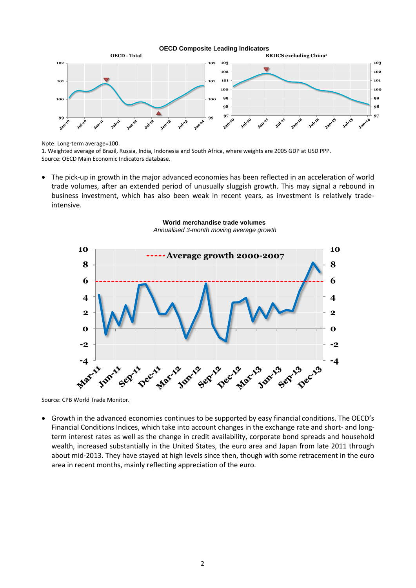

Note: Long-term average=100.

1. Weighted average of Brazil, Russia, India, Indonesia and South Africa, where weights are 2005 GDP at USD PPP. Source: OECD Main Economic Indicators database.

 The pick-up in growth in the major advanced economies has been reflected in an acceleration of world trade volumes, after an extended period of unusually sluggish growth. This may signal a rebound in business investment, which has also been weak in recent years, as investment is relatively tradeintensive.



**World merchandise trade volumes**  *Annualised 3-month moving average growth*

Source: CPB World Trade Monitor.

 Growth in the advanced economies continues to be supported by easy financial conditions. The OECD's Financial Conditions Indices, which take into account changes in the exchange rate and short- and longterm interest rates as well as the change in credit availability, corporate bond spreads and household wealth, increased substantially in the United States, the euro area and Japan from late 2011 through about mid-2013. They have stayed at high levels since then, though with some retracement in the euro area in recent months, mainly reflecting appreciation of the euro.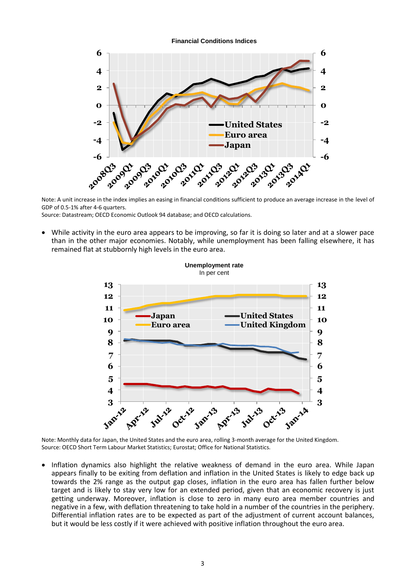

Note: A unit increase in the index implies an easing in financial conditions sufficient to produce an average increase in the level of GDP of 0.5-1% after 4-6 quarters.

Source: Datastream; OECD Economic Outlook 94 database; and OECD calculations.

 While activity in the euro area appears to be improving, so far it is doing so later and at a slower pace than in the other major economies. Notably, while unemployment has been falling elsewhere, it has remained flat at stubbornly high levels in the euro area.



Note: Monthly data for Japan, the United States and the euro area, rolling 3-month average for the United Kingdom. Source: OECD Short Term Labour Market Statistics; Eurostat; Office for National Statistics.

• Inflation dynamics also highlight the relative weakness of demand in the euro area. While Japan appears finally to be exiting from deflation and inflation in the United States is likely to edge back up towards the 2% range as the output gap closes, inflation in the euro area has fallen further below target and is likely to stay very low for an extended period, given that an economic recovery is just getting underway. Moreover, inflation is close to zero in many euro area member countries and negative in a few, with deflation threatening to take hold in a number of the countries in the periphery. Differential inflation rates are to be expected as part of the adjustment of current account balances, but it would be less costly if it were achieved with positive inflation throughout the euro area.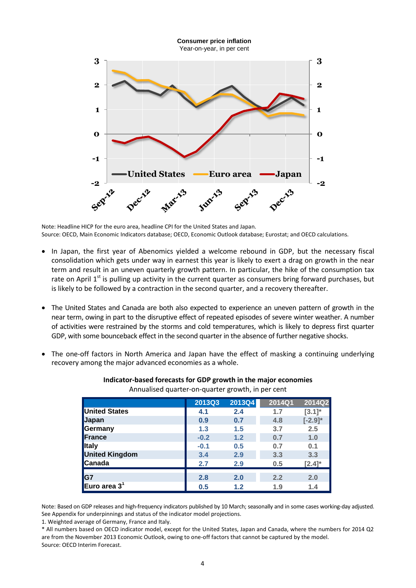

Note: Headline HICP for the euro area, headline CPI for the United States and Japan. Source: OECD, Main Economic Indicators database; OECD, Economic Outlook database; Eurostat; and OECD calculations.

- In Japan, the first year of Abenomics yielded a welcome rebound in GDP, but the necessary fiscal consolidation which gets under way in earnest this year is likely to exert a drag on growth in the near term and result in an uneven quarterly growth pattern. In particular, the hike of the consumption tax rate on April  $1<sup>st</sup>$  is pulling up activity in the current quarter as consumers bring forward purchases, but is likely to be followed by a contraction in the second quarter, and a recovery thereafter.
- The United States and Canada are both also expected to experience an uneven pattern of growth in the near term, owing in part to the disruptive effect of repeated episodes of severe winter weather. A number of activities were restrained by the storms and cold temperatures, which is likely to depress first quarter GDP, with some bounceback effect in the second quarter in the absence of further negative shocks.
- The one-off factors in North America and Japan have the effect of masking a continuing underlying recovery among the major advanced economies as a whole.

|                          | <b>2013Q3</b> | 2013Q4 | 2014Q1 | 2014Q2       |
|--------------------------|---------------|--------|--------|--------------|
| <b>United States</b>     | 4.1           | 2.4    | 1.7    | $[3.1]^{*}$  |
| <b>Japan</b>             | 0.9           | 0.7    | 4.8    | $[-2.9]^{*}$ |
| Germany                  | 1.3           | 1.5    | 3.7    | 2.5          |
| France                   | $-0.2$        | 1.2    | 0.7    | 1.0          |
| <b>Italy</b>             | $-0.1$        | 0.5    | 0.7    | 0.1          |
| <b>United Kingdom</b>    | 3.4           | 2.9    | 3.3    | 3.3          |
| Canada                   | 2.7           | 2.9    | 0.5    | $[2.4]^{*}$  |
| <b>G7</b>                | 2.8           | 2.0    | 2.2    | 2.0          |
| Euro area 3 <sup>1</sup> | 0.5           | 1.2    | 1.9    | 1.4          |

#### **Indicator-based forecasts for GDP growth in the major economies** Annualised quarter-on-quarter growth, in per cent

Note: Based on GDP releases and high-frequency indicators published by 10 March; seasonally and in some cases working-day adjusted. See Appendix for underpinnings and status of the indicator model projections.

1. Weighted average of Germany, France and Italy.

\* All numbers based on OECD indicator model, except for the United States, Japan and Canada, where the numbers for 2014 Q2 are from the November 2013 Economic Outlook, owing to one-off factors that cannot be captured by the model. Source: OECD Interim Forecast.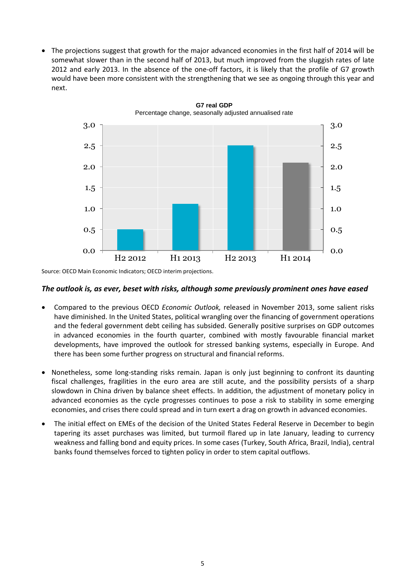The projections suggest that growth for the major advanced economies in the first half of 2014 will be somewhat slower than in the second half of 2013, but much improved from the sluggish rates of late 2012 and early 2013. In the absence of the one-off factors, it is likely that the profile of G7 growth would have been more consistent with the strengthening that we see as ongoing through this year and next.



**G7 real GDP**

Source: OECD Main Economic Indicators; OECD interim projections.

#### *The outlook is, as ever, beset with risks, although some previously prominent ones have eased*

- Compared to the previous OECD *Economic Outlook,* released in November 2013, some salient risks have diminished. In the United States, political wrangling over the financing of government operations and the federal government debt ceiling has subsided. Generally positive surprises on GDP outcomes in advanced economies in the fourth quarter, combined with mostly favourable financial market developments, have improved the outlook for stressed banking systems, especially in Europe. And there has been some further progress on structural and financial reforms.
- Nonetheless, some long-standing risks remain. Japan is only just beginning to confront its daunting fiscal challenges, fragilities in the euro area are still acute, and the possibility persists of a sharp slowdown in China driven by balance sheet effects. In addition, the adjustment of monetary policy in advanced economies as the cycle progresses continues to pose a risk to stability in some emerging economies, and crises there could spread and in turn exert a drag on growth in advanced economies.
- The initial effect on EMEs of the decision of the United States Federal Reserve in December to begin tapering its asset purchases was limited, but turmoil flared up in late January, leading to currency weakness and falling bond and equity prices. In some cases (Turkey, South Africa, Brazil, India), central banks found themselves forced to tighten policy in order to stem capital outflows.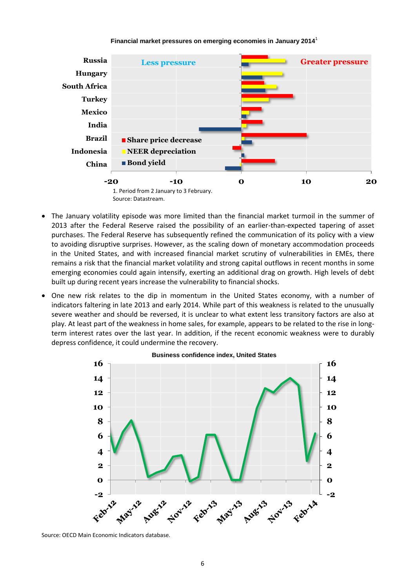#### **Financial market pressures on emerging economies in January 2014**<sup>1</sup>



- The January volatility episode was more limited than the financial market turmoil in the summer of 2013 after the Federal Reserve raised the possibility of an earlier-than-expected tapering of asset purchases. The Federal Reserve has subsequently refined the communication of its policy with a view to avoiding disruptive surprises. However, as the scaling down of monetary accommodation proceeds in the United States, and with increased financial market scrutiny of vulnerabilities in EMEs, there remains a risk that the financial market volatility and strong capital outflows in recent months in some emerging economies could again intensify, exerting an additional drag on growth. High levels of debt built up during recent years increase the vulnerability to financial shocks.
- One new risk relates to the dip in momentum in the United States economy, with a number of indicators faltering in late 2013 and early 2014. While part of this weakness is related to the unusually severe weather and should be reversed, it is unclear to what extent less transitory factors are also at play. At least part of the weakness in home sales, for example, appears to be related to the rise in longterm interest rates over the last year. In addition, if the recent economic weakness were to durably depress confidence, it could undermine the recovery.



Source: OECD Main Economic Indicators database.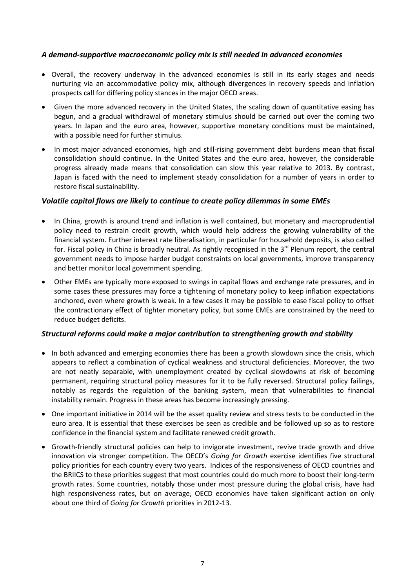### *A demand-supportive macroeconomic policy mix is still needed in advanced economies*

- Overall, the recovery underway in the advanced economies is still in its early stages and needs nurturing via an accommodative policy mix, although divergences in recovery speeds and inflation prospects call for differing policy stances in the major OECD areas.
- Given the more advanced recovery in the United States, the scaling down of quantitative easing has begun, and a gradual withdrawal of monetary stimulus should be carried out over the coming two years. In Japan and the euro area, however, supportive monetary conditions must be maintained, with a possible need for further stimulus.
- In most major advanced economies, high and still-rising government debt burdens mean that fiscal consolidation should continue. In the United States and the euro area, however, the considerable progress already made means that consolidation can slow this year relative to 2013. By contrast, Japan is faced with the need to implement steady consolidation for a number of years in order to restore fiscal sustainability.

## *Volatile capital flows are likely to continue to create policy dilemmas in some EMEs*

- In China, growth is around trend and inflation is well contained, but monetary and macroprudential policy need to restrain credit growth, which would help address the growing vulnerability of the financial system. Further interest rate liberalisation, in particular for household deposits, is also called for. Fiscal policy in China is broadly neutral. As rightly recognised in the 3<sup>rd</sup> Plenum report, the central government needs to impose harder budget constraints on local governments, improve transparency and better monitor local government spending.
- Other EMEs are typically more exposed to swings in capital flows and exchange rate pressures, and in some cases these pressures may force a tightening of monetary policy to keep inflation expectations anchored, even where growth is weak. In a few cases it may be possible to ease fiscal policy to offset the contractionary effect of tighter monetary policy, but some EMEs are constrained by the need to reduce budget deficits.

### *Structural reforms could make a major contribution to strengthening growth and stability*

- In both advanced and emerging economies there has been a growth slowdown since the crisis, which appears to reflect a combination of cyclical weakness and structural deficiencies. Moreover, the two are not neatly separable, with unemployment created by cyclical slowdowns at risk of becoming permanent, requiring structural policy measures for it to be fully reversed. Structural policy failings, notably as regards the regulation of the banking system, mean that vulnerabilities to financial instability remain. Progress in these areas has become increasingly pressing.
- One important initiative in 2014 will be the asset quality review and stress tests to be conducted in the euro area. It is essential that these exercises be seen as credible and be followed up so as to restore confidence in the financial system and facilitate renewed credit growth.
- Growth-friendly structural policies can help to invigorate investment, revive trade growth and drive innovation via stronger competition. The OECD's *Going for Growth* exercise identifies five structural policy priorities for each country every two years. Indices of the responsiveness of OECD countries and the BRIICS to these priorities suggest that most countries could do much more to boost their long-term growth rates. Some countries, notably those under most pressure during the global crisis, have had high responsiveness rates, but on average, OECD economies have taken significant action on only about one third of *Going for Growth* priorities in 2012-13.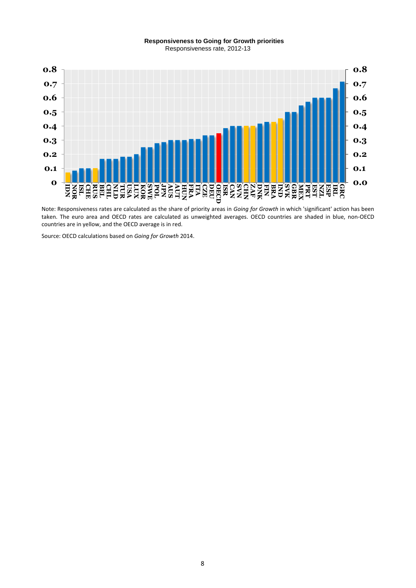#### **Responsiveness to Going for Growth priorities** Responsiveness rate, 2012-13



Note: Responsiveness rates are calculated as the share of priority areas in *Going for Growth* in which 'significant' action has been taken. The euro area and OECD rates are calculated as unweighted averages. OECD countries are shaded in blue, non-OECD countries are in yellow, and the OECD average is in red.

Source: OECD calculations based on *Going for Growth* 2014.